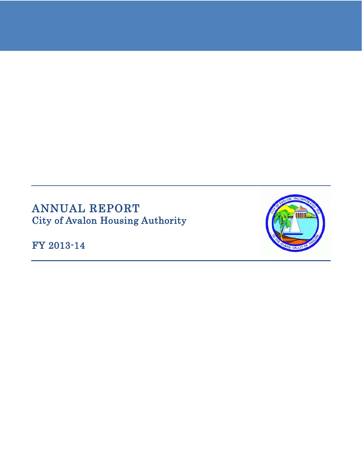# ANNUAL REPORT City of Avalon Housing Authority

FY 2013-14

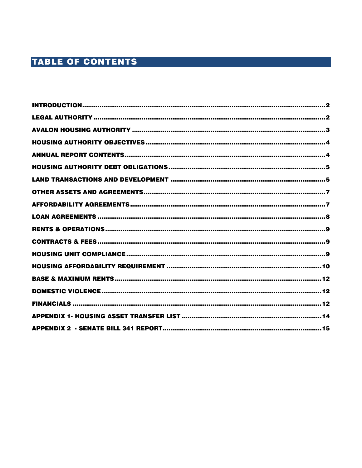# **TABLE OF CONTENTS**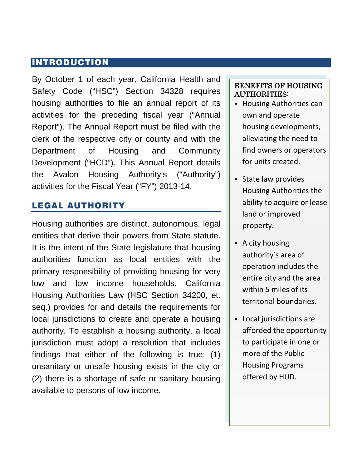### <span id="page-2-0"></span>INTRODUCTION

By October 1 of each year, California Health and Safety Code ("HSC") Section 34328 requires housing authorities to file an annual report of its activities for the preceding fiscal year ("Annual Report"). The Annual Report must be filed with the clerk of the respective city or county and with the Department of Housing and Community Development ("HCD"). This Annual Report details the Avalon Housing Authority's ("Authority") activities for the Fiscal Year ("FY") 2013-14.

# <span id="page-2-1"></span>LEGAL AUTHORITY

Housing authorities are distinct, autonomous, legal entities that derive their powers from State statute. It is the intent of the State legislature that housing authorities function as local entities with the primary responsibility of providing housing for very low and low income households. California Housing Authorities Law (HSC Section 34200, et. seq.) provides for and details the requirements for local jurisdictions to create and operate a housing authority. To establish a housing authority, a local jurisdiction must adopt a resolution that includes findings that either of the following is true: (1) unsanitary or unsafe housing exists in the city or (2) there is a shortage of safe or sanitary housing available to persons of low income.

#### BENEFITS OF HOUSING AUTHORITIES:

- **Housing Authorities can** own and operate housing developments, alleviating the need to find owners or operators for units created.
- State law provides Housing Authorities the ability to acquire or lease land or improved property.
- A city housing authority's area of operation includes the entire city and the area within 5 miles of its territorial boundaries.
- Local jurisdictions are afforded the opportunity to participate in one or more of the Public Housing Programs offered by HUD.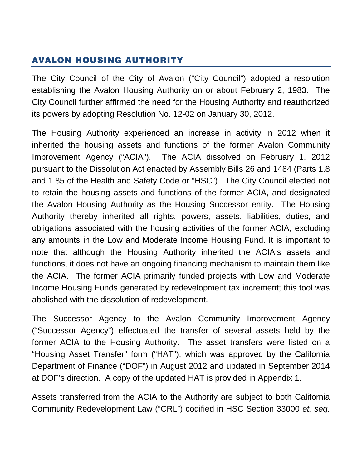# <span id="page-3-0"></span>AVALON HOUSING AUTHORITY

The City Council of the City of Avalon ("City Council") adopted a resolution establishing the Avalon Housing Authority on or about February 2, 1983. The City Council further affirmed the need for the Housing Authority and reauthorized its powers by adopting Resolution No. 12-02 on January 30, 2012.

The Housing Authority experienced an increase in activity in 2012 when it inherited the housing assets and functions of the former Avalon Community Improvement Agency ("ACIA"). The ACIA dissolved on February 1, 2012 pursuant to the Dissolution Act enacted by Assembly Bills 26 and 1484 (Parts 1.8 and 1.85 of the Health and Safety Code or "HSC"). The City Council elected not to retain the housing assets and functions of the former ACIA, and designated the Avalon Housing Authority as the Housing Successor entity. The Housing Authority thereby inherited all rights, powers, assets, liabilities, duties, and obligations associated with the housing activities of the former ACIA, excluding any amounts in the Low and Moderate Income Housing Fund. It is important to note that although the Housing Authority inherited the ACIA's assets and functions, it does not have an ongoing financing mechanism to maintain them like the ACIA. The former ACIA primarily funded projects with Low and Moderate Income Housing Funds generated by redevelopment tax increment; this tool was abolished with the dissolution of redevelopment.

The Successor Agency to the Avalon Community Improvement Agency ("Successor Agency") effectuated the transfer of several assets held by the former ACIA to the Housing Authority. The asset transfers were listed on a "Housing Asset Transfer" form ("HAT"), which was approved by the California Department of Finance ("DOF") in August 2012 and updated in September 2014 at DOF's direction. A copy of the updated HAT is provided in Appendix 1.

Assets transferred from the ACIA to the Authority are subject to both California Community Redevelopment Law ("CRL") codified in HSC Section 33000 *et. seq.*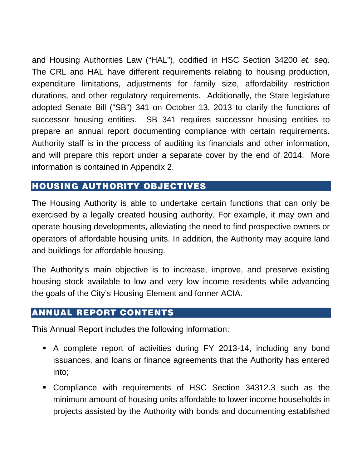and Housing Authorities Law ("HAL"), codified in HSC Section 34200 *et. seq*. The CRL and HAL have different requirements relating to housing production, expenditure limitations, adjustments for family size, affordability restriction durations, and other regulatory requirements. Additionally, the State legislature adopted Senate Bill ("SB") 341 on October 13, 2013 to clarify the functions of successor housing entities. SB 341 requires successor housing entities to prepare an annual report documenting compliance with certain requirements. Authority staff is in the process of auditing its financials and other information, and will prepare this report under a separate cover by the end of 2014. More information is contained in Appendix 2.

# <span id="page-4-0"></span>HOUSING AUTHORITY OBJECTIVES

The Housing Authority is able to undertake certain functions that can only be exercised by a legally created housing authority. For example, it may own and operate housing developments, alleviating the need to find prospective owners or operators of affordable housing units. In addition, the Authority may acquire land and buildings for affordable housing.

The Authority's main objective is to increase, improve, and preserve existing housing stock available to low and very low income residents while advancing the goals of the City's Housing Element and former ACIA.

### <span id="page-4-1"></span>ANNUAL REPORT CONTENTS

This Annual Report includes the following information:

- A complete report of activities during FY 2013-14, including any bond issuances, and loans or finance agreements that the Authority has entered into;
- Compliance with requirements of HSC Section 34312.3 such as the minimum amount of housing units affordable to lower income households in projects assisted by the Authority with bonds and documenting established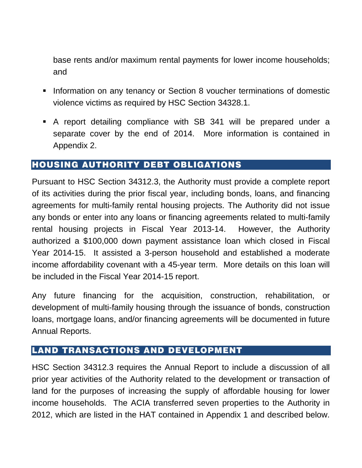base rents and/or maximum rental payments for lower income households; and

- **Information on any tenancy or Section 8 voucher terminations of domestic** violence victims as required by HSC Section 34328.1.
- A report detailing compliance with SB 341 will be prepared under a separate cover by the end of 2014. More information is contained in Appendix 2.

### <span id="page-5-0"></span>HOUSING AUTHORITY DEBT OBLIGATIONS

Pursuant to HSC Section 34312.3, the Authority must provide a complete report of its activities during the prior fiscal year, including bonds, loans, and financing agreements for multi-family rental housing projects. The Authority did not issue any bonds or enter into any loans or financing agreements related to multi-family rental housing projects in Fiscal Year 2013-14. However, the Authority authorized a \$100,000 down payment assistance loan which closed in Fiscal Year 2014-15. It assisted a 3-person household and established a moderate income affordability covenant with a 45-year term. More details on this loan will be included in the Fiscal Year 2014-15 report.

Any future financing for the acquisition, construction, rehabilitation, or development of multi-family housing through the issuance of bonds, construction loans, mortgage loans, and/or financing agreements will be documented in future Annual Reports.

### <span id="page-5-1"></span>LAND TRANSACTIONS AND DEVELOPMENT

HSC Section 34312.3 requires the Annual Report to include a discussion of all prior year activities of the Authority related to the development or transaction of land for the purposes of increasing the supply of affordable housing for lower income households. The ACIA transferred seven properties to the Authority in 2012, which are listed in the HAT contained in Appendix 1 and described below.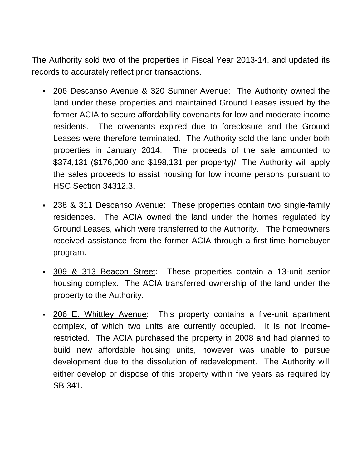The Authority sold two of the properties in Fiscal Year 2013-14, and updated its records to accurately reflect prior transactions.

- 206 Descanso Avenue & 320 Sumner Avenue: The Authority owned the land under these properties and maintained Ground Leases issued by the former ACIA to secure affordability covenants for low and moderate income residents. The covenants expired due to foreclosure and the Ground Leases were therefore terminated. The Authority sold the land under both properties in January 2014. The proceeds of the sale amounted to \$374,131 (\$176,000 and \$198,131 per property)/ The Authority will apply the sales proceeds to assist housing for low income persons pursuant to HSC Section 34312.3.
- 238 & 311 Descanso Avenue: These properties contain two single-family residences. The ACIA owned the land under the homes regulated by Ground Leases, which were transferred to the Authority. The homeowners received assistance from the former ACIA through a first-time homebuyer program.
- 309 & 313 Beacon Street: These properties contain a 13-unit senior housing complex. The ACIA transferred ownership of the land under the property to the Authority.
- . 206 E. Whittley Avenue: This property contains a five-unit apartment complex, of which two units are currently occupied. It is not incomerestricted. The ACIA purchased the property in 2008 and had planned to build new affordable housing units, however was unable to pursue development due to the dissolution of redevelopment. The Authority will either develop or dispose of this property within five years as required by SB 341.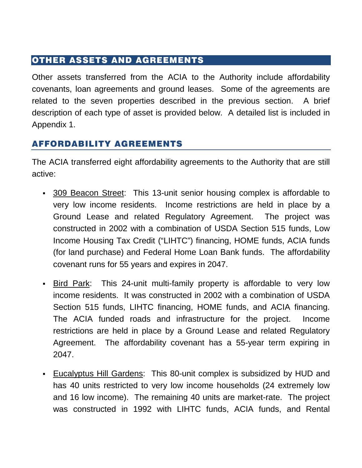# <span id="page-7-0"></span>OTHER ASSETS AND AGREEMENTS

Other assets transferred from the ACIA to the Authority include affordability covenants, loan agreements and ground leases. Some of the agreements are related to the seven properties described in the previous section. A brief description of each type of asset is provided below. A detailed list is included in Appendix 1.

# <span id="page-7-1"></span>AFFORDABILITY AGREEMENTS

The ACIA transferred eight affordability agreements to the Authority that are still active:

- 309 Beacon Street: This 13-unit senior housing complex is affordable to very low income residents. Income restrictions are held in place by a Ground Lease and related Regulatory Agreement. The project was constructed in 2002 with a combination of USDA Section 515 funds, Low Income Housing Tax Credit ("LIHTC") financing, HOME funds, ACIA funds (for land purchase) and Federal Home Loan Bank funds. The affordability covenant runs for 55 years and expires in 2047.
- Bird Park: This 24-unit multi-family property is affordable to very low income residents. It was constructed in 2002 with a combination of USDA Section 515 funds, LIHTC financing, HOME funds, and ACIA financing. The ACIA funded roads and infrastructure for the project. Income restrictions are held in place by a Ground Lease and related Regulatory Agreement. The affordability covenant has a 55-year term expiring in 2047.
- Eucalyptus Hill Gardens: This 80-unit complex is subsidized by HUD and has 40 units restricted to very low income households (24 extremely low and 16 low income). The remaining 40 units are market-rate. The project was constructed in 1992 with LIHTC funds, ACIA funds, and Rental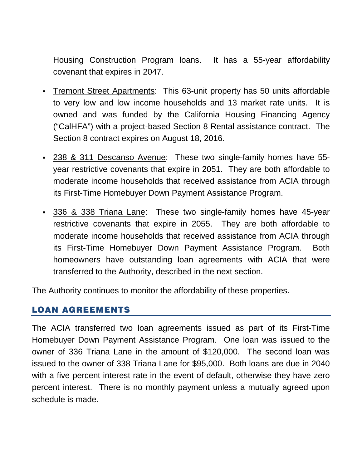Housing Construction Program loans. It has a 55-year affordability covenant that expires in 2047.

- Tremont Street Apartments: This 63-unit property has 50 units affordable to very low and low income households and 13 market rate units. It is owned and was funded by the California Housing Financing Agency ("CalHFA") with a project-based Section 8 Rental assistance contract. The Section 8 contract expires on August 18, 2016.
- 238 & 311 Descanso Avenue: These two single-family homes have 55year restrictive covenants that expire in 2051. They are both affordable to moderate income households that received assistance from ACIA through its First-Time Homebuyer Down Payment Assistance Program.
- 336 & 338 Triana Lane: These two single-family homes have 45-year restrictive covenants that expire in 2055. They are both affordable to moderate income households that received assistance from ACIA through its First-Time Homebuyer Down Payment Assistance Program. Both homeowners have outstanding loan agreements with ACIA that were transferred to the Authority, described in the next section.

The Authority continues to monitor the affordability of these properties.

# <span id="page-8-0"></span>LOAN AGREEMENTS

<span id="page-8-1"></span>The ACIA transferred two loan agreements issued as part of its First-Time Homebuyer Down Payment Assistance Program. One loan was issued to the owner of 336 Triana Lane in the amount of \$120,000. The second loan was issued to the owner of 338 Triana Lane for \$95,000. Both loans are due in 2040 with a five percent interest rate in the event of default, otherwise they have zero percent interest. There is no monthly payment unless a mutually agreed upon schedule is made.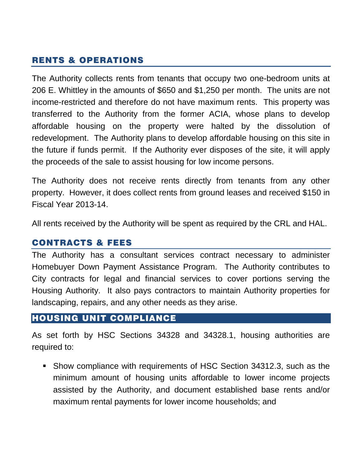# RENTS & OPERATIONS

The Authority collects rents from tenants that occupy two one-bedroom units at 206 E. Whittley in the amounts of \$650 and \$1,250 per month. The units are not income-restricted and therefore do not have maximum rents. This property was transferred to the Authority from the former ACIA, whose plans to develop affordable housing on the property were halted by the dissolution of redevelopment. The Authority plans to develop affordable housing on this site in the future if funds permit. If the Authority ever disposes of the site, it will apply the proceeds of the sale to assist housing for low income persons.

The Authority does not receive rents directly from tenants from any other property. However, it does collect rents from ground leases and received \$150 in Fiscal Year 2013-14.

All rents received by the Authority will be spent as required by the CRL and HAL.

#### <span id="page-9-0"></span>CONTRACTS & FEES

The Authority has a consultant services contract necessary to administer Homebuyer Down Payment Assistance Program. The Authority contributes to City contracts for legal and financial services to cover portions serving the Housing Authority. It also pays contractors to maintain Authority properties for landscaping, repairs, and any other needs as they arise.

### <span id="page-9-1"></span>HOUSING UNIT COMPLIANCE

As set forth by HSC Sections 34328 and 34328.1, housing authorities are required to:

 Show compliance with requirements of HSC Section 34312.3, such as the minimum amount of housing units affordable to lower income projects assisted by the Authority, and document established base rents and/or maximum rental payments for lower income households; and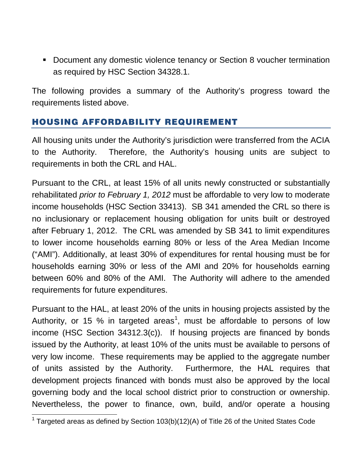**-** Document any domestic violence tenancy or Section 8 voucher termination as required by HSC Section 34328.1.

The following provides a summary of the Authority's progress toward the requirements listed above.

# <span id="page-10-0"></span>HOUSING AFFORDABILITY REQUIREMENT

All housing units under the Authority's jurisdiction were transferred from the ACIA to the Authority. Therefore, the Authority's housing units are subject to requirements in both the CRL and HAL.

Pursuant to the CRL, at least 15% of all units newly constructed or substantially rehabilitated *prior to February 1, 2012* must be affordable to very low to moderate income households (HSC Section 33413). SB 341 amended the CRL so there is no inclusionary or replacement housing obligation for units built or destroyed after February 1, 2012. The CRL was amended by SB 341 to limit expenditures to lower income households earning 80% or less of the Area Median Income ("AMI"). Additionally, at least 30% of expenditures for rental housing must be for households earning 30% or less of the AMI and 20% for households earning between 60% and 80% of the AMI. The Authority will adhere to the amended requirements for future expenditures.

Pursuant to the HAL, at least 20% of the units in housing projects assisted by the Authority, or [1](#page-10-1)5 % in targeted areas<sup>1</sup>, must be affordable to persons of low income (HSC Section 34312.3(c)). If housing projects are financed by bonds issued by the Authority, at least 10% of the units must be available to persons of very low income. These requirements may be applied to the aggregate number of units assisted by the Authority. Furthermore, the HAL requires that development projects financed with bonds must also be approved by the local governing body and the local school district prior to construction or ownership. Nevertheless, the power to finance, own, build, and/or operate a housing

<span id="page-10-1"></span> $1$  Targeted areas as defined by Section 103(b)(12)(A) of Title 26 of the United States Code  $\overline{a}$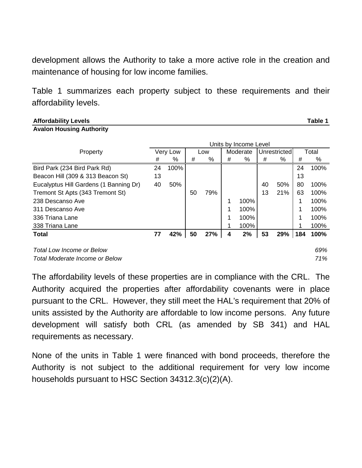development allows the Authority to take a more active role in the creation and maintenance of housing for low income families.

Table 1 summarizes each property subject to these requirements and their affordability levels.

**Affordability Levels Table 1**

**Avalon Housing Authority**

|                                        |          | Units by Income Level |     |     |          |      |              |     |       |      |
|----------------------------------------|----------|-----------------------|-----|-----|----------|------|--------------|-----|-------|------|
| Property                               | Very Low |                       | Low |     | Moderate |      | Unrestricted |     | Total |      |
|                                        | #        | %                     | #   | %   | #        | %    | #            | %   | #     | %    |
| Bird Park (234 Bird Park Rd)           | 24       | 100%                  |     |     |          |      |              |     | 24    | 100% |
| Beacon Hill (309 & 313 Beacon St)      | 13       |                       |     |     |          |      |              |     | 13    |      |
| Eucalyptus Hill Gardens (1 Banning Dr) | 40       | 50%                   |     |     |          |      | 40           | 50% | 80    | 100% |
| Tremont St Apts (343 Tremont St)       |          |                       | 50  | 79% |          |      | 13           | 21% | 63    | 100% |
| 238 Descanso Ave                       |          |                       |     |     | 1        | 100% |              |     |       | 100% |
| 311 Descanso Ave                       |          |                       |     |     | 1        | 100% |              |     |       | 100% |
| 336 Triana Lane                        |          |                       |     |     | 1        | 100% |              |     |       | 100% |
| 338 Triana Lane                        |          |                       |     |     | 1        | 100% |              |     |       | 100% |
| <b>Total</b>                           | 77       | 42%                   | 50  | 27% | 4        | 2%   | 53           | 29% | 184   | 100% |
| <b>Total Low Income or Below</b>       |          |                       |     |     |          |      |              |     |       | 69%  |
| Total Moderate Income or Below         |          |                       |     |     |          |      |              |     |       | 71%  |

The affordability levels of these properties are in compliance with the CRL. The Authority acquired the properties after affordability covenants were in place pursuant to the CRL. However, they still meet the HAL's requirement that 20% of units assisted by the Authority are affordable to low income persons. Any future development will satisfy both CRL (as amended by SB 341) and HAL requirements as necessary.

<span id="page-11-0"></span>None of the units in Table 1 were financed with bond proceeds, therefore the Authority is not subject to the additional requirement for very low income households pursuant to HSC Section 34312.3(c)(2)(A).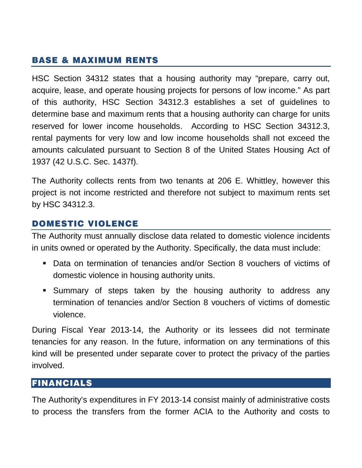# BASE & MAXIMUM RENTS

HSC Section 34312 states that a housing authority may "prepare, carry out, acquire, lease, and operate housing projects for persons of low income." As part of this authority, HSC Section 34312.3 establishes a set of guidelines to determine base and maximum rents that a housing authority can charge for units reserved for lower income households. According to HSC Section 34312.3, rental payments for very low and low income households shall not exceed the amounts calculated pursuant to Section 8 of the United States Housing Act of 1937 (42 U.S.C. Sec. 1437f).

The Authority collects rents from two tenants at 206 E. Whittley, however this project is not income restricted and therefore not subject to maximum rents set by HSC 34312.3.

#### <span id="page-12-0"></span>DOMESTIC VIOLENCE

The Authority must annually disclose data related to domestic violence incidents in units owned or operated by the Authority. Specifically, the data must include:

- Data on termination of tenancies and/or Section 8 vouchers of victims of domestic violence in housing authority units.
- Summary of steps taken by the housing authority to address any termination of tenancies and/or Section 8 vouchers of victims of domestic violence.

During Fiscal Year 2013-14, the Authority or its lessees did not terminate tenancies for any reason. In the future, information on any terminations of this kind will be presented under separate cover to protect the privacy of the parties involved.

### <span id="page-12-1"></span>FINANCIALS

The Authority's expenditures in FY 2013-14 consist mainly of administrative costs to process the transfers from the former ACIA to the Authority and costs to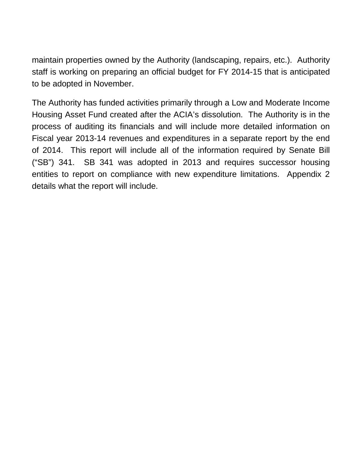maintain properties owned by the Authority (landscaping, repairs, etc.). Authority staff is working on preparing an official budget for FY 2014-15 that is anticipated to be adopted in November.

The Authority has funded activities primarily through a Low and Moderate Income Housing Asset Fund created after the ACIA's dissolution. The Authority is in the process of auditing its financials and will include more detailed information on Fiscal year 2013-14 revenues and expenditures in a separate report by the end of 2014. This report will include all of the information required by Senate Bill ("SB") 341. SB 341 was adopted in 2013 and requires successor housing entities to report on compliance with new expenditure limitations. Appendix 2 details what the report will include.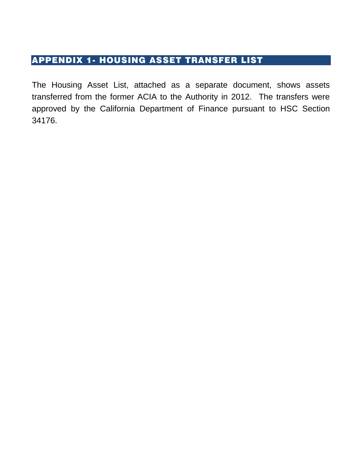# <span id="page-14-0"></span>APPENDIX 1- HOUSING ASSET TRANSFER LIST

The Housing Asset List, attached as a separate document, shows assets transferred from the former ACIA to the Authority in 2012. The transfers were approved by the California Department of Finance pursuant to HSC Section 34176.